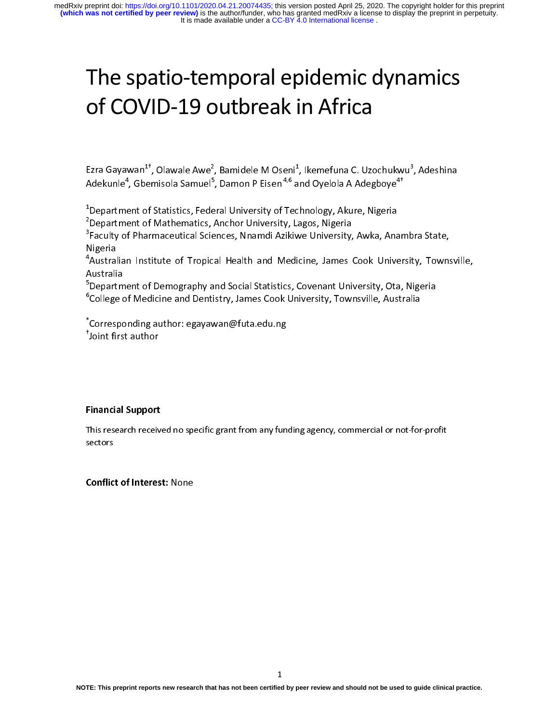# The spatio-temporal epidemic dynamics of COVID-19 outbreak in Africa

Ezra Gayawan<sup>1†</sup>, Olawale Awe<sup>2</sup>, Bamidele M Oseni<sup>1</sup>, Ikemefuna C. Uzochukwu<sup>3</sup>, Adeshina

<sup>1</sup>Department of Statistics, Federal University of Technology, Akure, Nigeria

<sup>2</sup>Department of Mathematics, Anchor University, Lagos, Nigeria

Ezra Gayawan<sup>+-</sup>, Olawale Awe<sup>2</sup>, Bamidele M Oseni<sup>+</sup><br>Adekunle<sup>4</sup>, Gbemisola Samuel<sup>5</sup>, Damon P Eisen<sup>4,6</sup> a<br><sup>1</sup>Department of Statistics, Federal University of Tec<br><sup>2</sup>Department of Mathematics, Anchor University, La<br><sup>3</sup>Fac , Ikemetuna C. Uzochukwu<sup>3</sup><br>nd Oyelola A Adegboye<sup>4+</sup><br>hnology, Akure, Nigeria<br>agos, Nigeria<br>ve University, Awka, Anamb<br>cine, James Cook Universit<br>Covenant University, Ota, N Adekunle<sup>+</sup><br><sup>1</sup>Departme<br><sup>2</sup>Departme<br><sup>3</sup>Faculty of<br><sup>3</sup>Faculty of<br><sup>4</sup>Australia<br><sup>5</sup>Departme<br><sup>6</sup>College of , Gbemisola Samuel"<br>ent of Statistics, Fede<br>ent of Mathematics,<br>f Pharmaceutical Scie<br>n Institute of Tropic<br>ent of Demography a<br>f Medicine and Denti , Damon P Eisen <sup>4,6</sup> and Oyelola A Adegboye<sup>4</sup><br>Iral University of Technology, Akure, Nigeria<br>Anchor University, Lagos, Nigeria<br>Inces, Nnamdi Azikiwe University, Awka, Anam<br>al Health and Medicine, James Cook Univer<br>Ind Soc Department of Mathematics, Anchor University, Lagos, Nigeria<br>Paculty of Pharmaceutical Sciences, Nnamdi Azikiwe University, Awka, Ana<br>Jigeria<br>Australian Institute of Tropical Health and Medicine, James Cook Unive<br>wastralia Faculty of Pharmaceutical Sciences, Nnamdi Azikiwe University,<br>Vigeria<br>Australian Institute of Tropical Health and Medicine, James (<br>Nustralia<br>Department of Demography and Social Statistics, Covenant Univ<br>College of Medici <sup>3</sup> Faculty of Pharmaceutical Sciences, Nnamdi Azikiwe University, Awka, Anambra State,

, Adeshina<br>ra State,<br>y, Townsvi<br>igeria Vigeria<br>Australian Institute of Tropical Health and Medicine, James Cook University, Towns<br>Nustralia<br>Department of Demography and Social Statistics, Covenant University, Ota, Nigeria<br>College of Medicine and Dentistry, Jame Angeria<br>Australi<br>Australi<br><sup>5</sup>Depart<br><sup>6</sup>College<br>\*Corres<br>Hoint fi <sup>4</sup>Australian Institute of Tropical Health and Medicine, James Cook University, Townsville,

Australia<br>Department of Demography and Social Statistics, Covenant University, Ota, Nigeria<br>College of Medicine and Dentistry, James Cook University, Townsville, Australia<br>Corresponding author: egayawan@futa.edu.ng<br>Joint f <sup>5</sup>Department of Demography and Social Statistics, Covenant University, Ota, Nigeria College of Medicine and Dentistry, James Cook University, Townsville, Australia<br>Corresponding author: egayawan@futa.edu.ng<br>Joint first author <sup>6</sup>College of Medicine and Dentistry, James Cook University, Townsville, Australia

<sup>5</sup>Departm<br><sup>6</sup>College d<br><sup>\*</sup>Correspo<br><sup>\*</sup>Joint firs Corresponding author: egayawan@futa.edu.ng<br>Joint first author<br>Joint first author<br>Thancial Support \*<br>|<br>| Corresponding author: egayawan@futa.edu.ng\* Joint first author

# Financial Support

Joint first author<br>Corresponding author<br>This research received no specific grant from any funertors i**nancial Support**<br>This research receiv<br>ectors This research received no specific grant from any funding agency, commercial or not-for-profit sectors

# Conflict of Interest: None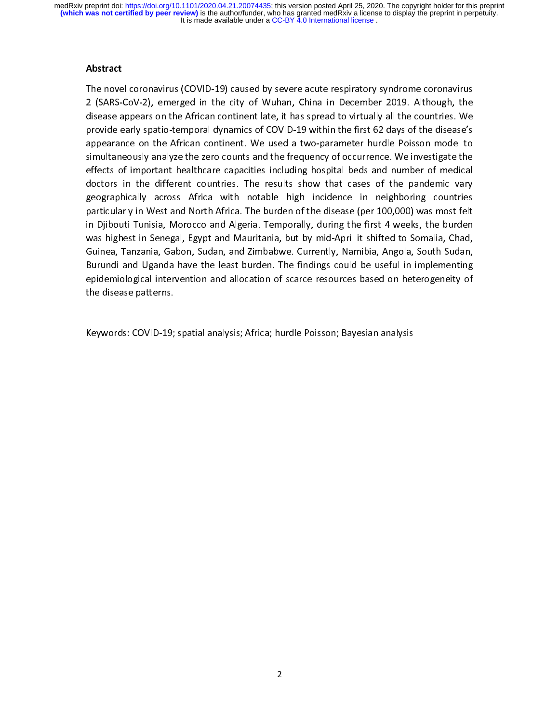### Abstract

2 (SARS-CoV-2), emerged in the city of Wuhan, China in December 2019. Although, the disease appears on the African continent late, it has spread to virtually all the countries. We provide early spatio-temporal dynamics of 2 (Sease appears on the African continent late, it has spread to virtually all the countries. We provide early spatio-temporal dynamics of COVID-19 within the first 62 days of the disease's appearance on the African contin provide early spatio-temporal dynamics of COVID-19 within the first 62 days of the disease's appearance on the African continent. We used a two-parameter hurdle Poisson model to simultaneously analyze the zero counts and t presentation, spation and appearance on the African continent. We used a two-parameter hurdle Poisson model to simultaneously analyze the zero counts and the frequency of occurrence. We investigate the effects of important is in the African control and the frequency of occurrence. We investigate the effects of important healthcare capacities including hospital beds and number of medical doctors in the different countries. The results show th simulation of mediation and the different countries. The results show that cases of the pandemic vary geographically across Africa with notable high incidence in neighboring countries particularly in West and North Africa. effects of the pandemic variations. The results show that cases of the pandemic vary<br>geographically across Africa with notable high incidence in neighboring countries<br>particularly in West and North Africa. The burden of th geographically across Africa with notable high incidence in neighboring countries<br>particularly in West and North Africa. The burden of the disease (per 100,000) was most felt<br>in Djibouti Tunisia, Morocco and Algeria. Tempo geographical in West and North Africa. The burden of the disease (per 100,000) was most felt<br>in Djibouti Tunisia, Morocco and Algeria. Temporally, during the first 4 weeks, the burden<br>was highest in Senegal, Egypt and Maur particularly in Djibouti Tunisia, Morocco and Algeria. Temporally, during the first 4 weeks, the burden was highest in Senegal, Egypt and Mauritania, but by mid-April it shifted to Somalia, Chad, Guinea, Tanzania, Gabon, S was highest in Senegal, Egypt and Mauritania, but by mid-April it shifted to Somalia, Chad,<br>Guinea, Tanzania, Gabon, Sudan, and Zimbabwe. Currently, Namibia, Angola, South Sudan,<br>Burundi and Uganda have the least burden. T was highest in Senegal, 2017 and 2018 and 2018 and 2018 and Suinea, Tanzania, Gabon, Sudan, and Zimbabwe. Currently, Namibia, Angola, South Sudan, Burundi and Uganda have the least burden. The findings could be useful in i Burundi and Uganda have the least burden. The findings could be useful in implementing<br>epidemiological intervention and allocation of scarce resources based on heterogeneity of<br>the disease patterns.<br>Keywords: COVID-19; spa epidemiological intervention and allocation of scarce resources based on heterogeneity of<br>the disease patterns.<br>Keywords: COVID-19; spatial analysis; Africa; hurdle Poisson; Bayesian analysis<br>Neywords: COVID-19; spatial an epidemiological intervention and allocation of the disease patterns.<br>
Keywords: COVID-19; spatial analysis; Africa; hurdle Poisson; Bayesian analysis<br>
The Video of Scarce resources based on the Scarce resources based on th

the disease patterns.<br>Keywords: COVID-19;<br>.  $\ddot{\phantom{a}}$ Keywords: COVID-19; spatial analysis; Africa; hurdle Poisson; Bayesian analysis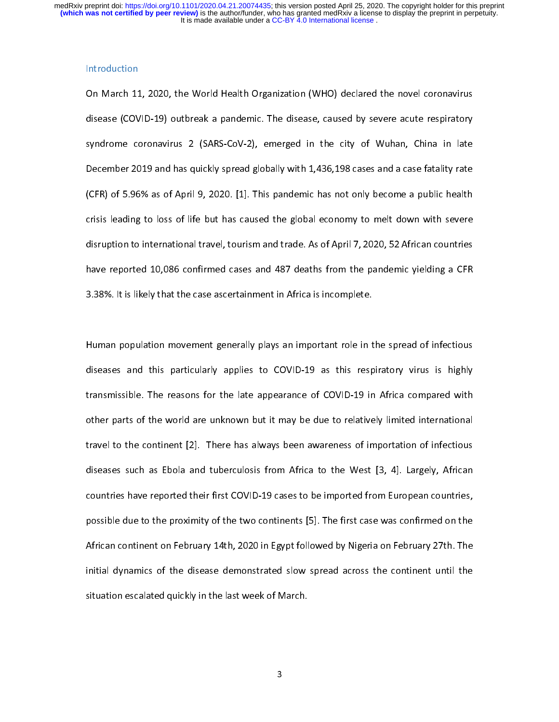On March 11<br>disease (COV<br>syndrome cc<br>December 2C On March 11, 2020, the March 11, 2020, the disease, caused by severe acute respiratory<br>disease (COVID-19) outbreak a pandemic. The disease, caused by severe acute respiratory<br>syndrome coronavirus 2 (SARS-CoV-2), emerged in disease (COVID-19) outbreak a pandemic and actually contently contently experience, contently syndrome coronavirus 2 (SARS-CoV-2), emerged in the city of Wuhan, China in late December 2019 and has quickly spread globally w Syndrome coronavirus 2 (state corona), chines and increase in the city of Wuhan in late.<br>December 2019 and has quickly spread globally with 1,436,198 cases and a case fatality rate<br>(CFR) of 5.96% as of April 9, 2020. [1]. CFR) of 5.96% as of April 9, 2020. [1]. This pandemic has not only become a public health<br>crisis leading to loss of life but has caused the global economy to melt down with severe<br>disruption to international travel, touris (CFR) of Seading to loss of life but has caused the global economy to melt down with severe<br>disruption to international travel, tourism and trade. As of April 7, 2020, 52 African countries<br>have reported 10,086 confirmed ca disruption to international travel, tourism and trade. As of April 7, 2020, 52 African countries<br>have reported 10,086 confirmed cases and 487 deaths from the pandemic yielding a CFR<br>3.38%. It is likely that the case ascert disruption to international travel, tourism and trade. As of April 7,<br>have reported 10,086 confirmed cases and 487 deaths from the<br>3.38%. It is likely that the case ascertainment in Africa is incomplet<br>Human population mov pandemic yielding a CFR<br>:e.<br>n the spread of infectious

have reported 20,000 commuted case and 497 deaths from the pandemic yielding a CFR<br>3.38%. It is likely that the case ascertainment in Africa is incomplete.<br>Human population movement generally plays an important role in the 4.33<br>3.33 Human population movement generally plays an important role in t<br>3.38 diseases and this particularly applies to COVID-19 as this resp<br>3.438 transmissible. The reasons for the late appearance of COVID-19 in |<br>|<br>| diseases and this particularly applies to COVID-19 as this respiratory virus is highly<br>transmissible. The reasons for the late appearance of COVID-19 in Africa compared with<br>other parts of the world are unknown but it may diseases such as Ebola and tuberculosis from Africa to the West [3, 4]. Largely, African<br>diseases such as Ebola and tuberculosis from Africa to the West [3, 4]. Largely, African<br>diseases such as Ebola and tuberculosis from the parts of the world are unknown but it may be due to relatively limited international<br>travel to the continent [2]. There has always been awareness of importation of infectious<br>diseases such as Ebola and tuberculosis fro There is the continent [2]. There has always been awareness of importation of infectious<br>diseases such as Ebola and tuberculosis from Africa to the West [3, 4]. Largely, African<br>countries have reported their first COVID-19 diseases such as Ebola and tuberculosis from Africa to the West [3, 4]. Largely, African<br>countries have reported their first COVID-19 cases to be imported from European countries,<br>possible due to the proximity of the two c countries have reported their first COVID-19 cases to be imported from European countries,<br>possible due to the proximity of the two continents [5]. The first case was confirmed on the<br>African continent on February 14th, 20 possible due to the proximity of the two continents [5]. The first case was confirmed on the<br>African continent on February 14th, 2020 in Egypt followed by Nigeria on February 27th. The<br>initial dynamics of the disease demon possible due to the disease demonstrated slow spread across the continent until the initial dynamics of the disease demonstrated slow spread across the continent until the situation escalated quickly in the last week of Ma African continent on February 21th, 2020 in Egypt followed by Nigeria on February 21th. The<br>initial dynamics of the disease demonstrated slow spread across the continent until the<br>situation escalated quickly in the last w initial dynamics of the disease demonstrated supplying the distribution escalated quickly in the last week of March.<br>3 situation escalated quickly in the last week of March.

3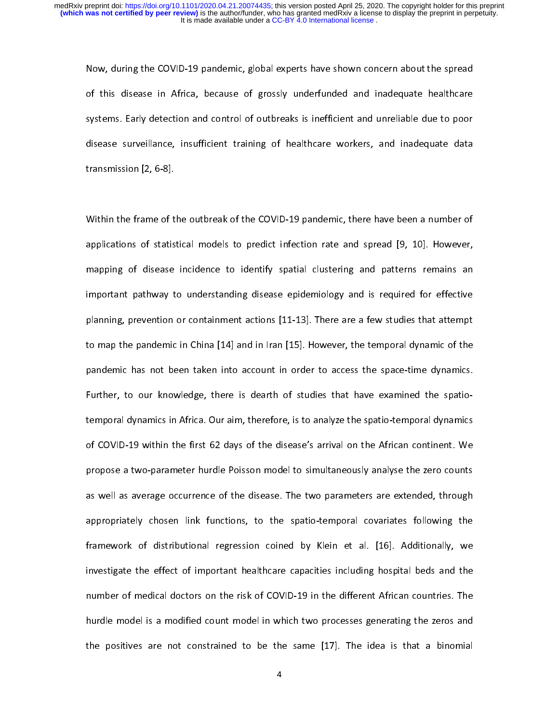Now, The COVID-19 particular control of this disease in Africa, because of grossly underfunded and inadequate healthcare<br>systems. Early detection and control of outbreaks is inefficient and unreliable due to poor<br>disease s of this disease in Africa, because of gross, and independent included and instead of systems. Early detection and control of outbreaks is inefficient and unreliable due to poor disease surveillance, insufficient training o systems. Early accession and control of outbreaks is interferent and uncluded the or poor<br>disease surveillance, insufficient training of healthcare workers, and inadequate data<br>transmission [2, 6-8].<br>Within the frame of th

disease surveillance, insufficient training of healthcare workers, and inadequate data<br>transmission [2, 6-8].<br>Within the frame of the outbreak of the COVID-19 pandemic, there have been a number of<br>applications of statistic transmission [2, 0-8].<br>Within the frame of t<br>applications of statis<br>mapping of disease  $\frac{1}{2}$ applications of statistical models to predict infection rate and spread [9, 10]. However,<br>mapping of disease incidence to identify spatial clustering and patterns remains an<br>important pathway to understanding disease epide mapping of disease incidence to identify spatial clustering and patterns remains an<br>important pathway to understanding disease epidemiology and is required for effective<br>planning, prevention or containment actions [11-13]. mapping of an anti-tead interaction, a period of the incidence to identify spatial content in the incidence in<br>planning, prevention or containment actions [11-13]. There are a few studies that attempt<br>to map the pandemic i planning, prevention or containment actions [11-13]. There are a few studies that attempt<br>to map the pandemic in China [14] and in Iran [15]. However, the temporal dynamic of the<br>pandemic has not been taken into account in planning, prevention or comparison or comparison or comparison or the pandemic has not been taken into account in order to access the space-time dynamics.<br>Further, to our knowledge, there is dearth of studies that have exa pandemic has not been taken into account in order to access the space-time dynamics.<br>Further, to our knowledge, there is dearth of studies that have examined the spatio-<br>temporal dynamics in Africa. Our aim, therefore, is pandemic the net been taken into account in order to access the space-time dynamics<br>Further, to our knowledge, there is dearth of studies that have examined the spatio-<br>temporal dynamics in Africa. Our aim, therefore, is t temporal dynamics in Africa. The analyze the small point of COVID-19 within the first 62 days of the disease's arrival on the African continent. We propose a two-parameter hurdle Poisson model to simultaneously analyse the of COVID-19 minimum in the first COVID-19 with all the COVID-19 minimum in the African continuation of the polition model to simultaneously analyse the zero counts<br>as well as average occurrence of the disease. The two para propose a two-parameters are extended, through<br>appropriately chosen link functions, to the spatio-temporal covariates following the<br>framework of distributional regression coined by Klein et al. [16]. Additionally, we<br>inves appropriately chosen link functions, to the spatio-temporal covariates following the<br>framework of distributional regression coined by Klein et al. [16]. Additionally, we<br>investigate the effect of important healthcare capac Free Free Constants framework of distributional regression coined by Klein et al. [16]. Additionally, we<br>investigate the effect of important healthcare capacities including hospital beds and the<br>number of medical doctors o finvestigate the effect of important healthcare capacities including hospital beds and the<br>number of medical doctors on the risk of COVID-19 in the different African countries. The<br>hurdle model is a modified count model in mumber of medical doctors on the risk of COVID-19 in the different African countries. The<br>hurdle model is a modified count model in which two processes generating the zeros and<br>the positives are not constrained to be the s hurdle model is a modified count model in which two processes generating the zeros and<br>the positives are not constrained to be the same [17]. The idea is that a binomial<br>4 the positives are not constrained to be the same [17]. The idea is that a binomial<br>4  $\frac{1}{2}$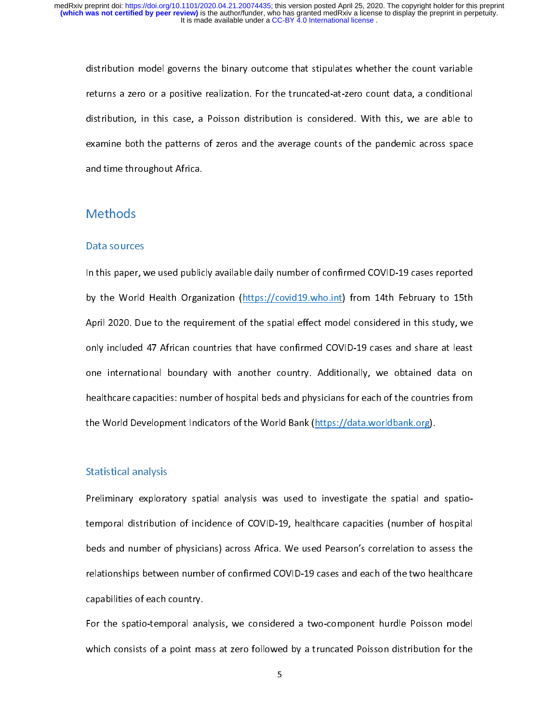returns a zero or a positive realization. For the truncated-at-zero count data, a conditional<br>distribution, in this case, a Poisson distribution is considered. With this, we are able to<br>examine both the patterns of zeros a returns a zero or a permane remainment in the truncated at zero count data, a consideration<br>distribution, in this case, a Poisson distribution is considered. With this, we are able to<br>examine both the patterns of zeros and distribution, in this case, a Poisson distribution is considered. Which this case, is a parameter of examine both the patterns of zeros and the average counts of the pandemic across space<br>and time throughout Africa.<br>Method examine both the patterns of zeros and time patterns of the pandemic across space of the average counts of the<br>Methods<br>Data sources

### Data sources

and time time agreems<br>Methods<br>Data sources<br>In this paper, we used public  $\begin{array}{c} \n \text{I} \\
 \text{I} \\
 \text{I} \\
 \text{I} \\
 \end{array}$ In the paper, we used public, and this paper, we used publicly available daily number of control of the World Health Organization (https://covid19.who.int) from 14th February to 15th April 2020. Due to the requirement of t by the World Health Organization (https://covid-19.<br>April 2020. Due to the requirement of the spatial effect model considered in this study, we<br>only included 47 African countries that have confirmed COVID-19 cases and shar Apply included 47 African countries that have confirmed COVID-19 cases and share at least<br>one international boundary with another country. Additionally, we obtained data on<br>healthcare capacities: number of hospital beds an one international boundary with another country. Additionally, we obtained data on<br>healthcare capacities: number of hospital beds and physicians for each of the countries from<br>the World Development Indicators of the World one international boundary with another country. Additionally, we obtained and one<br>healthcare capacities: number of hospital beds and physicians for each of the countries from<br>the World Development Indicators of the World the World Development Indicators of the World Bank (https://data.worldbank.org).<br>Statistical analysis<br>Preliminary exploratory spatial analysis was used to investigate the spatial and spatio-

### Statistical analysis

the World Development<br>Statistical analysis<br>Preliminary exploratory spatial analysis was used to investigate the spatial and<br>temporal distribution of incidence of COVID-19, healthcare capacities (number of temporal and number of physicians) across Africa. We used Pearson's correlation to assess the relationships between number of confirmed COVID-19 cases and each of the two healthcare capabilities of each country.<br>For the sp beds and number of physicians) across and each constant of across Africa. The term is determined to a<br>relationships between number of confirmed COVID-19 cases and each of the two healthcare<br>capabilities of each country.<br>Fo

relative of each country.<br>For the spatio-temporal analysis, we considered a two-component hurdle Poisson model<br>which consists of a point mass at zero followed by a truncated Poisson distribution for the<br>5 For the spatio-temporal and<br>which consists of a point ma For the spatial employment analysis, we considered a two-component hurdle Poisson models.<br>Which consists of a point mass at zero followed by a truncated Poisson distribution for the<br>5  $\frac{1}{5}$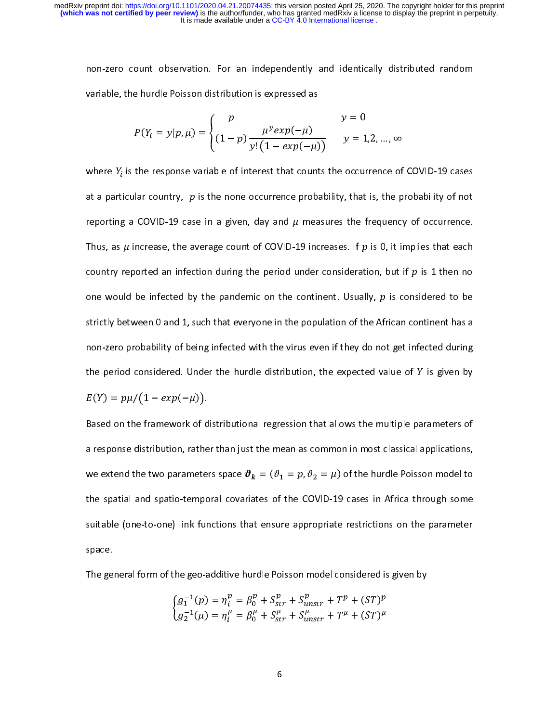variable, the hurdle Poisson distribution is expressed as  
\n
$$
P(Y_i = y | p, \mu) = \begin{cases} p & y = 0 \\ (1 - p) \frac{\mu^y exp(-\mu)}{y! (1 - exp(-\mu))} & y = 1, 2, ..., \infty \end{cases}
$$
\nwhere  $Y_i$  is the response variable of interest that counts the occurrence of COVID-19 cases

 $P(Y_i = y | p, \mu) = \begin{cases} p & \mu^y exp(-\mu) \ (1-p) \frac{\mu^y exp(-\mu)}{y! (1 - exp(-\mu))} \end{cases}$ <br>where  $Y_i$  is the response variable of interest that count<br>at a particular country,  $p$  is the none occurrence proba |<br>|<br>| where  $Y_i$  is the response variable of interest that counts the occurrence of COVID-19 cases<br>at a particular country,  $p$  is the none occurrence probability, that is, the probability of not<br>reporting a COVID-19 case in a at a particular country,  $p$  is the none occurrence probability, that is, the probability of not<br>reporting a COVID-19 case in a given, day and  $\mu$  measures the frequency of occurrence.<br>Thus, as  $\mu$  increase, the average reporting a COVID-19 case in a given, day and  $\mu$  measures the frequency of occurrence.<br>Thus, as  $\mu$  increase, the average count of COVID-19 increases. If  $p$  is 0, it implies that each<br>country reported an infection dur Thus, as  $\mu$  increase, the average count of COVID-19 increases. If  $p$  is 0, it implies that each country reported an infection during the period under consideration, but if  $p$  is 1 then no one would be infected by the country reported an infection during the period under consideration, but if  $p$  is 1 then no<br>one would be infected by the pandemic on the continent. Usually,  $p$  is considered to be<br>strictly between 0 and 1, such that eve one would be infected by the pandemic on the continent. Usually,  $p$  is considered to be<br>strictly between 0 and 1, such that everyone in the population of the African continent has a<br>non-zero probability of being infected strictly between 1 and 2, such that every site in the population into the chinesis connon-zero probability of being infected with the virus even if they do not get infected during<br>the period considered. Under the hurdle d the period considered. Under the hurdle distribution, the expected value of *Y* is given by  $E(Y) = p\mu/(1 - exp(-\mu)).$ <br>Based on the framework of distributional regression that allows the multiple parameters of a response distribut  $E(Y) = p\mu / (1 - exp($ 

the period considered. Under the hurdle distribution, the expected value of  $Y$  is given by  $E(Y) = p\mu / (1 - exp(-\mu))$ .<br>Based on the framework of distributional regression that allows the multiple parameters of<br>a response distrib  $-\mu$ ) ).<br>rk of d<br>, rathe<br>amete:<br>tempo a response distribution, rather than just the mean as common in most classical applications,<br>we extend the two parameters space  $\vartheta_k = (\vartheta_1 = p, \vartheta_2 = \mu)$  of the hurdle Poisson model to<br>the spatial and spatio-temporal covar and the two parameters space  $\theta_k = (\theta_1 = p, \theta_2 = \mu)$  of the hurdle Poisson model to<br>the spatial and spatio-temporal covariates of the COVID-19 cases in Africa through some<br>suitable (one-to-one) link functions that ensure ap we extend the two parameters space  $\boldsymbol{v}_k =$  (<br>the spatial and spatio-temporal covariates of<br>suitable (one-to-one) link functions that ens<br>space.<br>The general form of the geo-additive hurdle f  $v_1 = p$ ,  $v_2 = \mu$ ) or the nurdle Poisson model to<br>of the COVID-19 cases in Africa through some<br>sure appropriate restrictions on the parameter<br>Poisson model considered is given by suitable (one-to-one) link functions that ensure appropriate restrictions on the parameter<br>space.<br>The general form of the geo-additive hurdle Poisson model considered is given by<br> $\int g_1^{-1}(p) = \eta_i^p = \beta_0^p + S_{str}^p + S_{unstr}^p + T^$ space.<br>
The general form of the geo-additive hurdle Poisson model considered is given by<br>  $\begin{cases} g_1^{-1}(p) = \eta_i^p = \beta_0^p + S_{str}^p + S_{unstr}^p + T^p + (ST)^p \\ g_2^{-1}(\mu) = \eta_i^\mu = \beta_0^\mu + S_{str}^\mu + S_{unstr}^\mu + T^\mu + (ST)^\mu \end{cases}$ 

The ge

$$
\begin{cases}\ng_1^{-1}(p) = \eta_i^p = \beta_0^p + S_{str}^p + S_{unstr}^p + T^p + (ST)^p \\
g_2^{-1}(\mu) = \eta_i^\mu = \beta_0^\mu + S_{str}^\mu + S_{unstr}^\mu + T^\mu + (ST)^\mu\n\end{cases}
$$
\n6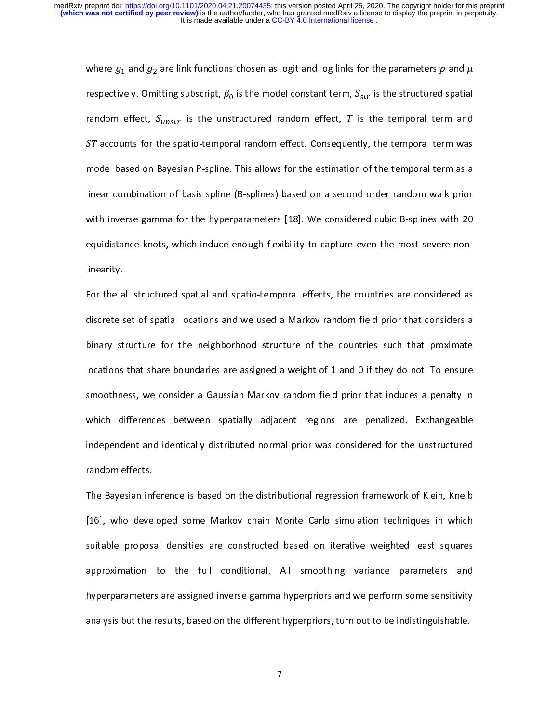where  $g_1$  and  $g_2$  are link functions chosen as logit and log links for the parameters  $p$  and  $\mu$  respectively. Omitting subscript,  $\beta_0$  is the model constant term,  $S_{str}$  is the structured spatial random effect, respectively. Omltting subscript,  $\mu_0$  is the model constant term,  $S_{st}$ <br>random effect,  $S_{unstr}$  is the unstructured random effect,  $T$  is<br> $ST$  accounts for the spatio-temporal random effect. Consequently<br>model based on the temporal term and<br>it, the temporal term was<br>of the temporal term as a<br>order random walk prior random effect, S<sub>unst</sub><br>ST accounts for the s<br>model based on Baye<br>linear combination of<br>with inverse gamma  $r$  is the unstructured random effect,  $I$  is the temporal term and<br>patio-temporal random effect. Consequently, the temporal term was<br>sian P-spline. This allows for the estimation of the temporal term as a<br>is basis spline ST accounts for the spatio-temporal random effect. Consequently, the temporal term was<br>model based on Bayesian P-spline. This allows for the estimation of the temporal term as a<br>linear combination of basis spline (B-spline linear combination of basis spline (B-splines) based on a second order random walk prior<br>with inverse gamma for the hyperparameters [18]. We considered cubic B-splines with 20<br>equidistance knots, which induce enough flexib with inverse gamma for the hyperparameters [18]. We considered cubic B-splines with 20<br>equidistance knots, which induce enough flexibility to capture even the most severe non-<br>linearity.<br>For the all structured spatial and equidistance knots, which induce enough flexibility to capture even the most severe non-<br>linearity.<br>For the all structured spatial and spatio-temporal effects, the countries are considered as<br>discrete set of spatial locati

meant,<br>For the a<br>discrete s<br>binary st<br>locations For the all structure set of spatial locations and we used a Markov random field prior that considers a<br>binary structure for the neighborhood structure of the countries such that proximate<br>locations that share boundaries a binary structure for the neighborhood structure of the countries such that proximate<br>locations that share boundaries are assigned a weight of 1 and 0 if they do not. To ensure<br>smoothness, we consider a Gaussian Markov rand binary increases that share boundaries are assigned a weight of 1 and 0 if they do not. To ensure<br>smoothness, we consider a Gaussian Markov random field prior that induces a penalty in<br>which differences between spatially a Smoothness, we consider a Gaussian Markov random field prior that induces a penalty in<br>which differences between spatially adjacent regions are penalized. Exchangeable<br>independent and identically distributed normal prior w smoothich differences between spatially adjacent regions are penalized. Exchangeable independent and identically distributed normal prior was considered for the unstructured random effects.<br>The Bayesian inference is based which differences between spatially and process are penalized. Extremely additional independent and identically distributed normal prior was considered for the unstructured random effects.<br>The Bayesian inference is based o

Independent and identically and identical results for the constrained in the unstructured representation<br>The Bayesian inference is based on the distributional regression framework of Klein, Kneib<br>[16], who developed some M The Bayesian inf<br>[16], who deve<br>suitable propos<br>approximation The Bayesian inference is based on the distribution regression framework of the III.<br>The Bayesian in the distribution is based on the distribution framework suitable proposal densities are constructed based on iterative we Endivided proposal densities are constructed based on iterative weighted least squares<br>approximation to the full conditional. All smoothing variance parameters and<br>hyperparameters are assigned inverse gamma hyperpriors and supproximation to the full conditional. All smoothing variance parameters and<br>hyperparameters are assigned inverse gamma hyperpriors and we perform some sensitivity<br>analysis but the results, based on the different hyperpri approximaters are assigned inverse gamma hyperpriors and we perform some sensitivity<br>analysis but the results, based on the different hyperpriors, turn out to be indistinguishable.<br>7 here are assigned in the different hyperpriors, turn out to be indistinguishable.<br>
analysis but the results, based on the different hyperpriors, turn out to be indistinguishable. analysis but the results, based on the different hyperpriors, turn out to be indistinguishable.

7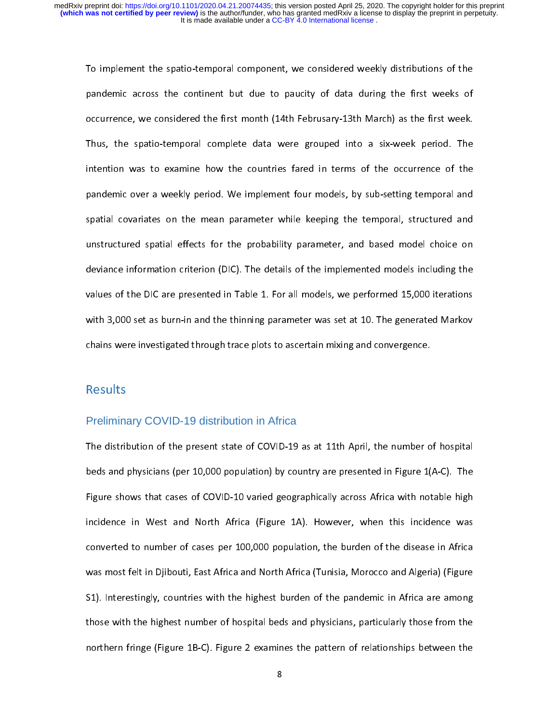pandemic across the continent but due to paucity of data during the first weeks of<br>occurrence, we considered the first month (14th Februsary-13th March) as the first week.<br>Thus, the spatio-temporal complete data were group pandemic across the continent and the pattery of data during the first week.<br>Thus, the spatio-temporal complete data were grouped into a six-week period. The<br>intention was to examine how the countries fared in terms of the Thus, the spatio-temporal complete data were grouped into a six-week period. The<br>intention was to examine how the countries fared in terms of the occurrence of the<br>pandemic over a weekly period. We implement four models, b intention was to examine how the countries fared in terms of the occurrence of the<br>pandemic over a weekly period. We implement four models, by sub-setting temporal and<br>spatial covariates on the mean parameter while keeping pandemic over a weekly period. We implement four models, by sub-setting temporal and<br>spatial covariates on the mean parameter while keeping the temporal, structured and<br>unstructured spatial effects for the probability para pandial covariates on the mean parameter while keeping the temporal, structured and<br>unstructured spatial effects for the probability parameter, and based model choice on<br>deviance information criterion (DIC). The details of spatial effects for the probability parameter, and based model choice on<br>deviance information criterion (DIC). The details of the implemented models including the<br>values of the DIC are presented in Table 1. For all models, deviance information criterion (DIC). The details of the implemented models including the<br>values of the DIC are presented in Table 1. For all models, we performed 15,000 iterations<br>with 3,000 set as burn-in and the thinnin values of the DIC are presented in Table 1. For all models, we performed 15,000 iterations<br>with 3,000 set as burn-in and the thinning parameter was set at 10. The generated Markov<br>chains were investigated through trace plo with 3,000 set as burn-in and the thinning parameter was set at 10. The generated Markov<br>chains were investigated through trace plots to ascertain mixing and convergence.<br>Results whistles as a burn-in and the thinness were investigated through trace plots to ascertain mixing and convergence.<br>Results<br>Results

# chains were investigated through the set of a<br>chains were preliminary COVID-19 distribution in Africa Preliminary COVID-19 distribution in Africa

 $\begin{bmatrix} 1 \\ 1 \end{bmatrix}$ the distribution of the distribution of the beds and physicians (per 10,000 population) by country are presented in Figure 1(A-C). The Figure shows that cases of COVID-10 varied geographically across Africa with notable hi Figure shows that cases of COVID-10 varied geographically across Africa with notable high<br>incidence in West and North Africa (Figure 1A). However, when this incidence was<br>converted to number of cases per 100,000 population incidence in West and North Africa (Figure 1A). However, when this incidence was<br>converted to number of cases per 100,000 population, the burden of the disease in Africa<br>was most felt in Djibouti, East Africa and North Afr converted to number of cases per 100,000 population, the burden of the disease in Africa<br>was most felt in Djibouti, East Africa and North Africa (Tunisia, Morocco and Algeria) (Figure<br>S1). Interestingly, countries with the converted to number of cases per 100,000 population, the station of the disease in this are<br>was most felt in Djibouti, East Africa and North Africa (Tunisia, Morocco and Algeria) (Figure<br>S1). Interestingly, countries with S1). Interestingly, countries with the highest burden of the pandemic in Africa are among<br>those with the highest number of hospital beds and physicians, particularly those from the<br>northern fringe (Figure 1B-C). Figure 2 S1). It is a set of the highest number of hospital beds and physicians, particularly those from the northern fringe (Figure 1B-C). Figure 2 examines the pattern of relationships between the  $\frac{8}{100}$ the those with the highest number of the highest number of the hospital beds and physicians, particularly those from the same of relationships between the same of relationships between the same of relationships between the  $1$  examines the pattern friends the pattern of relationships between the  $\beta$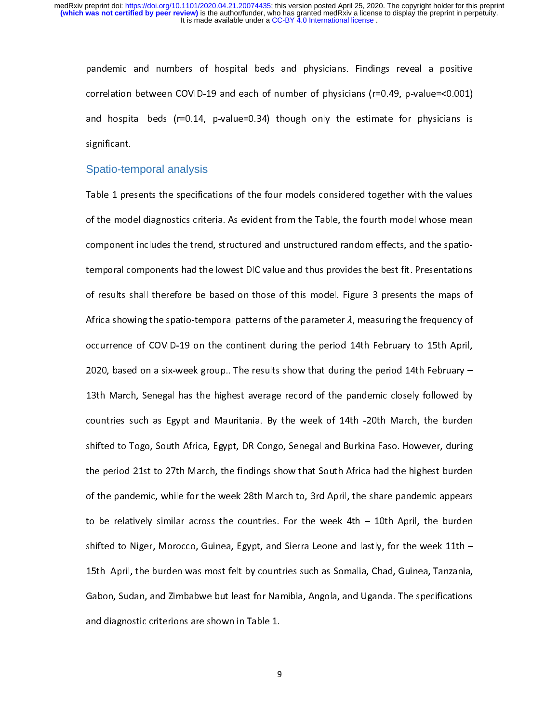correlation between COVID-19 and each of number of physicians (r=0.49, p-value=<0.001)<br>and hospital beds (r=0.14, p-value=0.34) though only the estimate for physicians is<br>significant. and hospital beds (r=0.14, p-value=0.34) though only the estimate for physicians is<br>significant.<br>Spatio-temporal analysis and hospital beds (r=0.14, p-value =0.34) though only the element on physician is<br>significant.<br>Table 1 presents the specifications of the four models considered together with the values

# Spatio-temporal analysis

Spatio-ter<br>Table 1 pre<br>of the mod Table 1 presents the specifications of the four models considered together with the values<br>of the model diagnostics criteria. As evident from the Table, the fourth model whose mean<br>component includes the trend, structured component includes the trend, structured and unstructured random effects, and the spatio-<br>temporal components had the lowest DIC value and thus provides the best fit. Presentations<br>of results shall therefore be based on th occurrence of COVID-19 on the continent during the period 14th February to 15th April, of results shall therefore be based on those of this model. Figure 3 presents the maps of<br>Africa showing the spatio-temporal patterns of the parameter  $\lambda$ , measuring the frequency of<br>occurrence of COVID-19 on the contine Africa showing the spatio-temporal patterns of the parameter  $\lambda$ , measuring the frequency of<br>occurrence of COVID-19 on the continent during the period 14th February to 15th April,<br>2020, based on a six-week group.. The re Africa showing the spatio-temporal patterns of the parameter *x*<sub>1</sub>, measuring the frequency of<br>occurrence of COVID-19 on the continent during the period 14th February -<br>2020, based on a six-week group.. The results show t occurrence of Covid-19 on the common analysing period Countertainty to 14th February –<br>2020, based on a six-week group.. The results show that during the period 14th February –<br>13th March, Senegal has the highest average r 2023, based on a six-week and the results show that during the period 2018 (followed by<br>2021, based on a six-week group. The results show that during show that during countries such as Egypt and Mauritania. By the week of 13th March, Senegal and Mauritania. By the week of 14th -20th March, the burden<br>13th March, Senegal and Burkina Faso. However, during<br>13th March, the findings show that South Africa had the highest burden<br>13th March, the f shifted to Togo, South Africa, Egypt, DR Congo, Senegal and Burkina Faso. However, during<br>the period 21st to 27th March, the findings show that South Africa had the highest burden<br>of the pandemic, while for the week 28th M the period 21st to 27th March, the findings show that South Africa had the highest burden<br>of the pandemic, while for the week 28th March to, 3rd April, the share pandemic appears<br>to be relatively similar across the countri of the pandemic, while for the week 28th March to, 3rd April, the share pandemic appears<br>to be relatively similar across the countries. For the week 4th – 10th April, the burden<br>shifted to Niger, Morocco, Guinea, Egypt, an to be relatively similar across the countries. For the week 4th – 10th April, the burden<br>shifted to Niger, Morocco, Guinea, Egypt, and Sierra Leone and lastly, for the week 11th –<br>15th April, the burden was most felt by c shifted to Niger, Morocco, Guinea, Egypt, and Sierra Leone and lastly, for the week 11th –<br>15th April, the burden was most felt by countries such as Somalia, Chad, Guinea, Tanzania,<br>Gabon, Sudan, and Zimbabwe but least for 15th April, the burden was most felt by countries such as Somalia, Chad, Guinea, Tanzania,<br>Gabon, Sudan, and Zimbabwe but least for Namibia, Angola, and Uganda. The specifications<br>and diagnostic criterions are shown in Tab Gabon, Sudan, and Zimbabwe but least for Namibia, Angola, and Uganda. The specifications and diagnostic criterions are shown in Table 1.<br>gabon but least for Namibia, Angola, and Uganda. The specifications are shown in Table 1. and diagnostic criterions are shown in Table 1.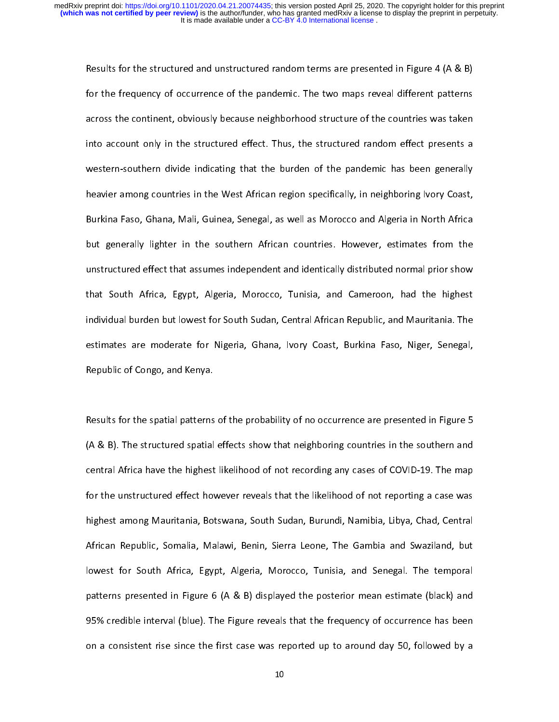For the frequency of occurrence of the pandemic. The two maps reveal different patterns<br>across the continent, obviously because neighborhood structure of the countries was taken<br>into account only in the structured effect. for the frequency of occurrence of the pandemic of the countries was taken<br>across the continent, obviously because neighborhood structure of the countries was taken<br>into account only in the structured effect. Thus, the str ances the continuity, of the continuity of the continuity of the countries the count of the countries and into<br>into account only in the structured effect. Thus, the structured random effect presents a<br>western-southern divi into account only in the character check that, the structured random shows presents a<br>western-southern divide indicating that the burden of the pandemic has been generally<br>heavier among countries in the West African region western-southern and a matering material water of the pandemic has bosning (serveral)<br>heavier among countries in the West African region specifically, in neighboring Ivory Coast,<br>Burkina Faso, Ghana, Mali, Guinea, Senegal, Burkina Faso, Ghana, Mali, Guinea, Senegal, as well as Morocco and Algeria in North Africa<br>but generally lighter in the southern African countries. However, estimates from the<br>unstructured effect that assumes independent a But generally lighter in the southern African countries. However, estimates from the<br>unstructured effect that assumes independent and identically distributed normal prior show<br>that South Africa, Egypt, Algeria, Morocco, Tu bunstructured effect that assumes independent and identically distributed normal prior show<br>that South Africa, Egypt, Algeria, Morocco, Tunisia, and Cameroon, had the highest<br>individual burden but lowest for South Sudan, C unstructured effect that assume many effects that assuments in the fighest<br>that South Africa, Egypt, Algeria, Morocco, Tunisia, and Cameroon, had the highest<br>individual burden but lowest for South Sudan, Central African Re that South African Republic, and Mauritania. The estimates are moderate for Nigeria, Ghana, Ivory Coast, Burkina Faso, Niger, Senegal,<br>Republic of Congo, and Kenya. individual burden burden burden burden burden burden burden burden burden burden burden. Sudan, Sudan, Senegal,<br>Republic of Congo, and Kenya.<br>The Mauritania. The Mauritania Republic of Congo, and Kenya. estimate of Congo, and Kenya.<br>Results for the spatial patterns of the probability of no occurrence are presented in Figure 5

Results for the spatial patterns<br>(A & B). The structured spatial |<br>|<br>| Results for the spatial patterns of the probability of no occurrence are presented in Figure 5<br>(A & B). The structured spatial effects show that neighboring countries in the southern and<br>central Africa have the highest lik (A B). The structured spatial effect in the structure spatial effect of COVID-19. The map<br>for the unstructured effect however reveals that the likelihood of not reporting a case was<br>highest among Mauritania, Botswana, Sout for the unstructured effect however reveals that the likelihood of not reporting a case was<br>highest among Mauritania, Botswana, South Sudan, Burundi, Namibia, Libya, Chad, Central<br>African Republic, Somalia, Malawi, Benin, for the interactions there is no treated into the interaction of not reporting a case was<br>highest among Mauritania, Botswana, South Sudan, Burundi, Namibia, Libya, Chad, Central<br>African Republic, Somalia, Malawi, Benin, Si African Republic, Somalia, Malawi, Benin, Sierra Leone, The Gambia and Swaziland, but<br>lowest for South Africa, Egypt, Algeria, Morocco, Tunisia, and Senegal. The temporal<br>patterns presented in Figure 6 (A & B) displayed th African Republic, Somalia, Malami, Somalia, Sierra Leone, Tunisia, and Senegal. The temporal<br>patterns presented in Figure 6 (A & B) displayed the posterior mean estimate (black) and<br>95% credible interval (blue). The Figure patterns presented in Figure 6 (A & B) displayed the posterior mean estimate (black) and<br>95% credible interval (blue). The Figure reveals that the frequency of occurrence has been<br>on a consistent rise since the first case 95% credible interval (blue). The Figure reveals that the frequency of occurrence has been<br>on a consistent rise since the first case was reported up to around day 50, followed by a<br> $10$ 95% creative interval (blue). The Figure reveals that the frequency of occurrence has been<br>on a consistent rise since the first case was reported up to around day 50, followed by a<br>10  $\begin{array}{c} \hline \rule{0pt}{13pt} \rule{0pt}{2pt} \rule{0pt}{2pt} \rule{0pt}{2pt} \rule{0pt}{2pt} \rule{0pt}{2pt} \rule{0pt}{2pt} \rule{0pt}{2pt} \rule{0pt}{2pt} \rule{0pt}{2pt} \rule{0pt}{2pt} \rule{0pt}{2pt} \rule{0pt}{2pt} \rule{0pt}{2pt} \rule{0pt}{2pt} \rule{0pt}{2pt} \rule{0pt}{2pt} \rule{0pt}{2pt} \rule{0pt}{2pt} \rule{0pt}{2pt} \rule{0pt}{2pt} \rule{0pt}{2pt} \rule{0pt}{2pt} \rule$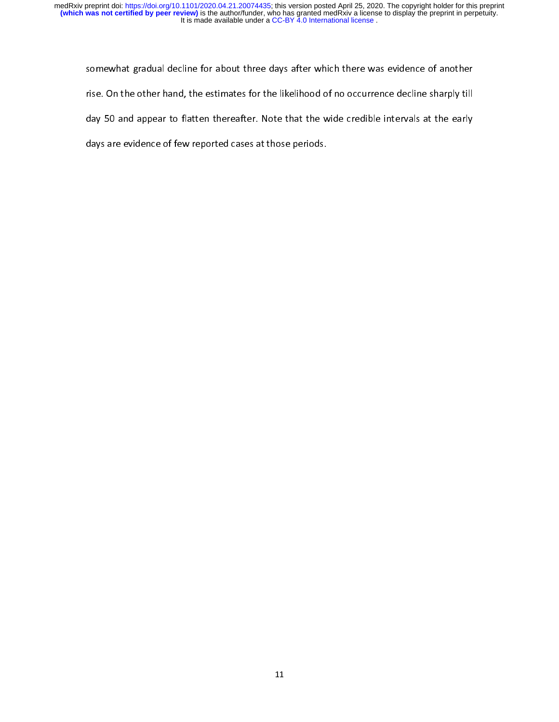somewhat gradual decline for about three days after which there was evidence of another<br>rise. On the other hand, the estimates for the likelihood of no occurrence decline sharply till<br>day 50 and appear to flatten thereafte day 50 and appear to flatten thereafter. Note that the wide credible intervals at the early days are evidence of few reported cases at those periods.<br>
Share credible intervals at the early days are evidence of few reported cases at those periods. days are evidence of few reported cases at those periods.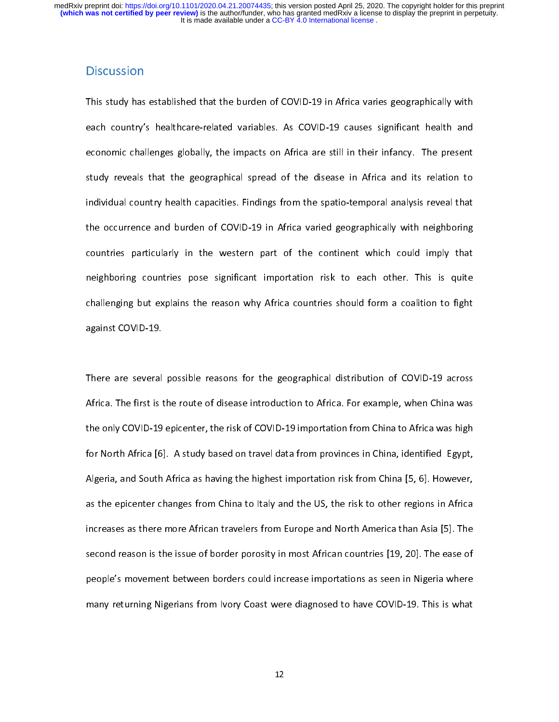each country's healthcare-related variables. As COVID-19 causes significant health and<br>economic challenges globally, the impacts on Africa are still in their infancy. The present<br>study reveals that the geographical spread economic challenges globally, the impacts on Africa are still in their infancy. The present<br>study reveals that the geographical spread of the disease in Africa and its relation to<br>individual country health capacities. Find economic channels globally, the impacts on Africa and its relation to study reveals that the geographical spread of the disease in Africa and its relation to individual country health capacities. Findings from the spatio-t studies of the set of the spatio-temporal analysis reveal that<br>individual country health capacities. Findings from the spatio-temporal analysis reveal that<br>the occurrence and burden of COVID-19 in Africa varied geographica the occurrence and burden of COVID-19 in Africa varied geographically with neighboring<br>countries particularly in the western part of the continent which could imply that<br>neighboring countries pose significant importation r the countries particularly in the western part of the continent which could imply that<br>neighboring countries pose significant importation risk to each other. This is quite<br>challenging but explains the reason why Africa co neighboring countries pose significant importation risk to each other. This is quite<br>challenging but explains the reason why Africa countries should form a coalition to fight<br>against COVID-19. challenging but explains the reason why Africa countries should form a coalition to fight<br>against COVID-19. challenging but explains the reason and reason countries shown a countries shown in eight<br>against COVID-19.<br>There are several possible reasons for the geographical distribution of COVID-19 across

against COVID-19.<br>There are several possible reasons for the geographical distribution of COVID-19 across<br>Africa. The first is the route of disease introduction to Africa. For example, when China was<br>the only COVID-19 epic  $\frac{1}{t}$ Africa. The first is the route of disease introduction to Africa. For example, when China was<br>the only COVID-19 epicenter, the risk of COVID-19 importation from China to Africa was high<br>for North Africa [6]. A study based the only COVID-19 epicenter, the risk of COVID-19 importation from China to Africa was high<br>for North Africa [6]. A study based on travel data from provinces in China, identified Egypt,<br>Algeria, and South Africa as having the only COVID-19 epicenter, the basis of COVID-19 inportation from Dinia, identified Egypt,<br>for North Africa [6]. A study based on travel data from provinces in China, identified Egypt,<br>Algeria, and South Africa as having Algeria, and South Africa as having the highest importation risk from China [5, 6]. However,<br>as the epicenter changes from China to Italy and the US, the risk to other regions in Africa<br>increases as there more African trav Algeria, and South Africa as the epicenter changes from China to Italy and the US, the risk to other regions in Africa increases as there more African travelers from Europe and North America than Asia [5]. The second reaso increases as there more African travelers from Europe and North America than Asia [5]. The second reason is the issue of border porosity in most African countries [19, 20]. The ease of people's movement between borders cou increases as there are there in the state of simple and travelers from Europe and North America than Asia Second<br>recond reason is the issue of border porosity in most African countries [19, 20]. The ease of<br>people's moveme secople's movement between borders could increase importations as seen in Nigeria where<br>hany returning Nigerians from Ivory Coast were diagnosed to have COVID-19. This is what<br>many returning Nigerians from Ivory Coast were many returning Nigerians from Ivory Coast were diagnosed to have COVID-19. This is what<br>many returning Nigerians from Ivory Coast were diagnosed to have COVID-19. This is what<br>12 many returning Nigerians from Ivory Coast were diagnosed to have Covid-19. This is what coast were distributed<br>12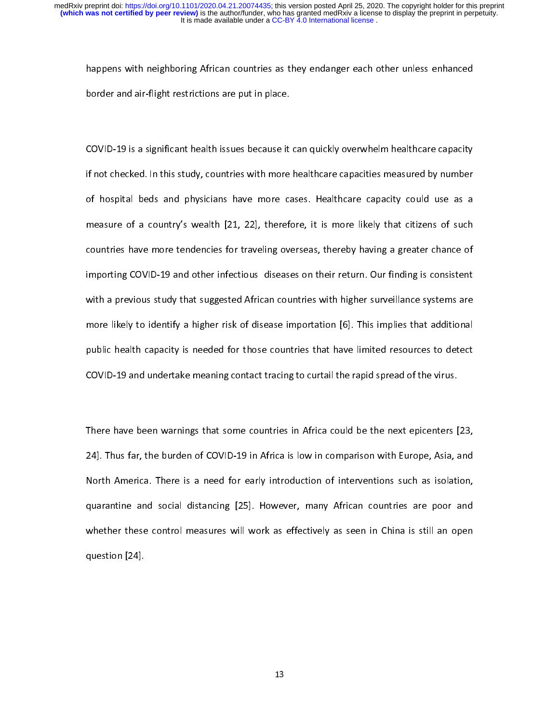happens with neight restrictions are put in place.<br>Border and air-flight restrictions are put in place.<br>COVID-19 is a significant health issues because it can quickly overwhelm healthcare capacity

border and air ingularizations are put in place.<br>COVID-19 is a significant health issues because it<br>if not checked. In this study, countries with more  $\frac{1}{2}$ COVID-19 is a significant health is a significant is a significant of the equality of the checked. In this study, countries with more healthcare capacities measured by number<br>of hospital beds and physicians have more cases of hospital beds and physicians have more cases. Healthcare capacity could use as a<br>measure of a country's wealth [21, 22], therefore, it is more likely that citizens of such<br>countries have more tendencies for traveling ov measure of a country's wealth [21, 22], therefore, it is more likely that citizens of such<br>countries have more tendencies for traveling overseas, thereby having a greater chance of<br>importing COVID-19 and other infectious d countries have more tendencies for traveling overseas, thereby having a greater chance of<br>importing COVID-19 and other infectious diseases on their return. Our finding is consistent<br>with a previous study that suggested Afr commer more tendencies on the more of traveling or the sum of transmit on importing COVID-19 and other infectious diseases on their return. Our finding is consistent with a previous study that suggested African countries w importing COVID-19 and other inferences are accountries with higher surveillance systems are<br>more likely to identify a higher risk of disease importation [6]. This implies that additional<br>public health capacity is needed f where likely to identify a higher risk of disease importation [6]. This implies that additional<br>public health capacity is needed for those countries that have limited resources to detect<br>COVID-19 and undertake meaning cont more likely to identify a higher risk of disease importance [6]. This implies that additional<br>public health capacity is needed for those countries that have limited resources to detect<br>COVID-19 and undertake meaning contac public health capacitum contact tracing to curtail the rapid spread of the virus.<br>COVID-19 and undertake meaning contact tracing to curtail the rapid spread of the virus.<br>There have been warnings that some countries in Afr

COVID-19 in Africa is low in comparison with Europe, Asia, and There have been warnings that some countries in Africa could be the next epicenters [24]. Thus far, the burden of COVID-19 in Africa is low in comparison with  $\begin{bmatrix} 1 \\ 2 \end{bmatrix}$ There have been warnings that some countries we must be that so the next opposite (23)<br>24]. Thus far, the burden of COVID-19 in Africa is low in comparison with Europe, Asia, and<br>North America. There is a need for early in 24. North America. There is a need for early introduction of interventions such as isolation,<br>quarantine and social distancing [25]. However, many African countries are poor and<br>whether these control measures will work as North America. There is a need for early intervention of intervention of the recention,<br>quarantine and social distancing [25]. However, many African countries are poor and<br>whether these control measures will work as effect whether these control measures will work as effectively as seen in China is still an open<br>question [24]. whenever control control measures with a effectively as seen in China is still an open question [24].  $q = 24$ .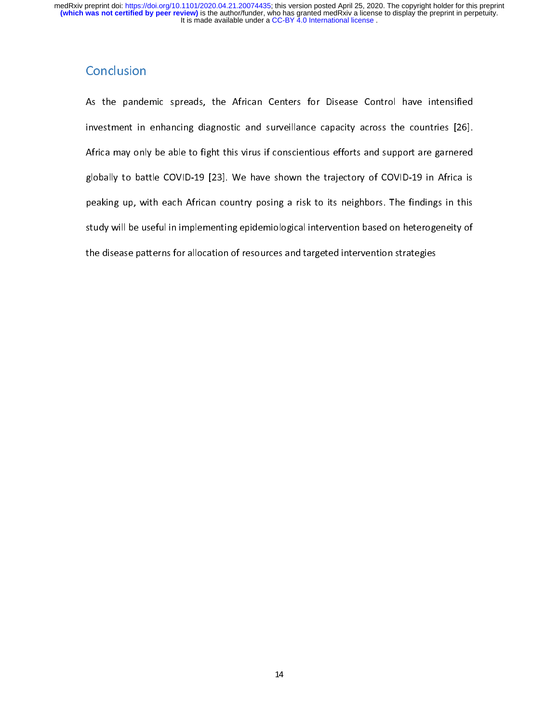As the pandemic spreads, the African Centers for Disease Control have intensified<br>investment in enhancing diagnostic and surveillance capacity across the countries [26].<br>Africa may only be able to fight this virus if consc peaking up, with each African country posing a risk to its neighbors. The findings in this Africa may only be able to fight this virus in constraints of the fight the eightical<br>globally to battle COVID-19 [23]. We have shown the trajectory of COVID-19 in Africa is<br>peaking up, with each African country posing a r globaling up, with each African country posing a risk to its neighbors. The findings in this study will be useful in implementing epidemiological intervention based on heterogeneity of the disease patterns for allocation o peaking up, with each African country position, position to its neighbors. The integral intervals<br>study will be useful in implementing epidemiological intervention based on heterogeneity of<br>the disease patterns for allocat study with the disease patterns for allocation of resources and targeted intervention strategies<br>the disease patterns for allocation of resources and targeted intervention strategies the disease patterns for allocation of resources and targeted intervention strategies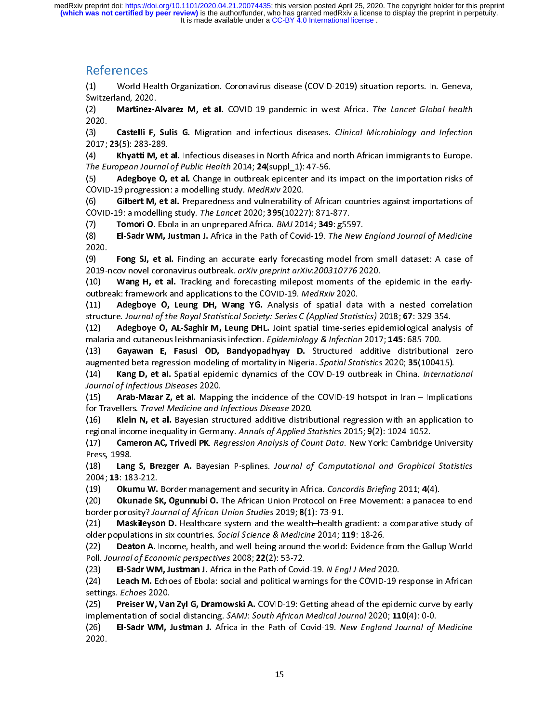References<br>(1) World Health Organization. Coronavirus disease (COVID-2019) situation reports. In. Geneva,

Switzerland, 2020.<br>
Martinez-Alvarez M, et al. COVID-19 pandemic in west Africa. The Lancet Global health<br>
(2)<br>
(2020)<br>
2020, Castelli F, Sulis G. Migration and infectious diseases. Clinical Microbiology and infection<br>
(4) (2) Martinez-A<br>
2020.<br>
(3) Castelli F,<br>
2017; 23(5): 283-28<br>
(4) Khyatti M,<br> *The European Jourr*<br>
(5) Adegboye<br>
COVID-19 progressi<br>
(6) Gilbert M,<br>
COVID-19: a model<br>
(7) Tomori O.<br>
(8) El-Sadr WN<br>
2020.<br>
(9) Fong SJ, et (2)<br>
Martinez-Alvarez M, et al. COVID-19 pindemic in west Africa. The Lancet Global health<br>
(2) Castelli F, sulls G. Migration and infections diseass. Clinical Microbiology and infection<br>
(1) Castelli F, sulls G. Migration  $(3)$ <br>  $2017$ ;<br>  $(4)$ <br>  $The Et$ <br>  $(5)$  COVID<br>  $(6)$  COVID<br>  $(7)$ <br>  $(8)$ <br>  $2020$ .<br>  $(9)$ <br>  $(10)$  outbre<br>  $(11)$ <br>  $(12)$  malari<br>  $(13)$ <br>  $(14)$  Journal<br>  $(15)$ <br>  $(16)$ <br>  $(17)$ <br>  $Press$ ,<br>  $(18)$ <br>  $2004$ ;<br>  $(19)$ <br>  $(20)$ (3) Castelli Microbiolic Internation and infectious diseases. Clinical Microbiolic Photometric Temperation and infectious diseases in North Africa and north African inmigrants to Europe.<br>
The European Journal of Public Hea 2017, 23(5): 203-285.<br>
(4) Khyatti M, et<br>
The European Journal<br>
(5) Adegboye O,<br>
COVID-19 progression<br>
(6) Gilbert M, et<br>
COVID-19: a modelling<br>
(7) Tomori O. Ebc<br>
(8) El-Sadr WM, J<br>
2020.<br>
(9) Fong SJ, et al<br>
2019-ncov no (4) Khyatti M, et al. Infectious diseases in North African internal and north and north Africa and Nikolay B, and Engine D, et al. In Africa COVID-19 or present Journal of Public Redit Path M, Medicine and its impact on th The Law optimation of room readelling study. *MedRivi* 2014; 1, 47-50.<br>
(5) Adegboye O, et al. Change in outbreak epicenter and it<br>
COVID-19 progression: a modelling study. *MedRivi* 2020.<br>
(6) Gill of Bublic M, et al. Che (5) Content of the Rale Particle and values of the COVID-19 or the interaction risks of COVID-19 or et al. Change in outbreak same values absent of African contries against importations of (6) Gibler M, et al. Preparednss Covid Control Control Control Control Control Covid Covid-19: a modelling study. The *Lanced 2020*; 305(10227 Tomori O. Ebola in an unprepared Africa. *BMJ* 20:<br>COVID-19: a modelling study. The *Lancet 2020*; 305(10227 Tom (s) The Coloristic Coloristic Coloristic Coloristic Coloristic Coloristic Coloristic Coloristic Coloristic Coloristic Coloristic Coloristic Coloristic Coloristic Coloristic Coloristic Coloristic Coloristic Coloristic Color COVID-13: iniotening study. The Lancet Except Device and the except of the COVID-19: Tomori O. Ebola in an unprepared Africa. BMJ 2014; 349: g55(8)<br>
El-Sadr WM, Justman J. Africa in the Path of Covid-19. The Ni<br>
(9) Fong S (7)<br>
Tomori O. Ele Colois and the relation of the relation of the relation of the Colois 2012<br>
2020.<br>
2020.<br>
2020. **For SS, et al.** Finding an accurate early forecasting model fro<br>
2019-ncov novel coronavirus outbreak. *ar* 

(8) El-Badr WM, Joshimar A mine train in the Path of Cordary, the New England Journal of Intensity<br>(10) English AL Finding an accurate early forcesting model from small datast! A case of<br>(10) Wang H, et al. Tracking and fo (9)<br>
2019-1<br>
(10)<br>
(10)<br>
(11)<br>
structi (12)<br>
malari (13)<br>
augme<br>
(13)<br>
augme<br>
(13)<br>
augme<br>
(13)<br>
augme<br>
(14)<br>  $(14)$ <br>  $(15)$ <br>
for Tras,<br>
(15)<br>  $(16)$ <br>  $(17)$ <br>
Press,<br>
(19)<br>  $(20)$ <br>
border<br>
(22)<br>  $L(d)$ <br>  $(22)$ <br>
Poll<br>  $Ld$ <br> (10) **Wang R, et al. Finding and forecasting model from small data with the need to the state of the state of the state of the state of the state of the state of the state of the state of the state of the state of the stat** 2019-12019 Marg B, et al. Spainting the indepthation of the COVID-19. Marg H, et al. Tracking and forecasting milelpost nonnenst sof the 1019 Marg H, et al. Tracking and forecasting milelpost nonnenst sof the 111) Adegbove (12) Area in the United States in the Covid-19. Mathematic minimization of the Covid-19. Area in the estable that with a nested correlation of the epidemic of Learly-B (11) Area in the extraction for the epidemic in the ex outions the method of Microsoft and Service Discussions of the Rayley O, Leurg DH, Wang YG. Analysis of spatial data<br>trattucture. Journal of the Rayal Statistical Society: Series C (Applied Statistical Statistical Society (12) Adeglowe O, Leung DH, Wang YO, Wang YO, The African University of spatial data with the Society 32018; 67: 329-354.<br>
Interimental data with the Royal Statistical Society: Series C (Applied Statistics) 2018; 67: 329-3 structure. Journal of the Royal Statistical Statistical Statistical Statistical Statistical Statistical Statistical Statistical Statistical Statistical Statistical Statistical Statistical Statistical Statistical Statistica (12) Adegension May The Microsofter Content Content Content Content Content Content Content Content Content Content Content Content Content Content Content Content Content Content Content Content Content Content Content Co manna no cutaneous scammandasis mechanic in periodic Statistics 2020; 31, 147: 687-700<br>(13) Gayawan E, Fasusi OD, Bandyopadhyay D. Structured additive distribution<br>(14) Kang D, et al. Spatial eiglening of motality in Niger (13) Gayawan E, "Issear O," unary propries<br>augmented beta regression modeling of mortality in Nigeria. Sportid Motistics 2020; 351(00415).<br>I(14) Kang D, et al. Spatial epidemic dynamics of the COVID-19 outbreak in China. augmented beta regression modeling of more than the end of the COVID-19 outbreak in China. Internetia.<br>
1491 Kang D, et al. Spatial epidemic dynamics of the COVID-19 outbreak in China. Internetia.<br>
1451 Arab-Mazar Z, et al (14)<br>
Character and the CoVID-19 bottpack in entire international<br>
(15) Arab Makar 2, et al. Napping the incidence of the COVID-19 hotspot in Iran – Implications<br>
(16) Kieln N, et al. Bayesian structured additive distribut Journal of Infectious Diseases 2020.<br>
(15) Arab-Mazar Z, et al. Mappi<br>
for Travellers. *Travel Medicine and l.*<br>
(16) Klein N, et al. Bayesian struegional income inequality in Germa<br>
regional income inequality in Germa<br>
(1 (15)<br>
The Travellers. Travellers are the control of the control of the control of the Travellers. Travelleries and the test allowed didthet distributional regression with an application to<br>
(16) Kielin N, et al. Bayesian s For Travellers. *Internetial Internetial manyeticins Sisses 2020*.<br>
1(16) Klein N, et al. Bayesian structured additive distribute is chosen and Income inequality in Germany. *Annals of Applied St*<br>
1(17) **Cameron AC, Trive** (18)<br>
The method income inequality in Germany. Annals of Applied Statistics 2015; 9(2): 1024-1052.<br>
(17) Cameron AC, Trivedi PK. *Regression Analysis of Count Dato.* New York: Cambridge University<br>
1791 Samenon AC, Trivedi regional method income mediative incomendation of *Statistics* 2017, 1(17) Cameron AC, Trivedi PK. *Regression Analysis of Count Data*. New York: Cambridge Press, 1998.<br>
(13) Lang S, Brezger A. Bayesian P-splines. *Journal* (17)<br>
Press, 1998.<br>
The Context Pace The Regression Analysis of Computational and Graphical Statistics<br>
1891, 1383-212.<br>
1891, 183-212.<br>
1892, Okunade SK, Ogunnubi O. The African Union Protocolon Free Movement: a paracea t (18) Lang<br>
2004; 13: 18:<br>
(19) Okul<br>
(20) Okul<br>
border poros<br>
(21) Mas<br>
older popula<br>
(22) Deat<br>
(22) Deat<br>
Poll Journal<br>
(23) El-Sa<br>
(24) Leac<br>
settings. Ech<br>
(25) Preis<br>
implementat<br>
(26) El-Sa<br>
2020. (19)<br>
Capacity and Statistics Computer Statistics Concordis Briefing 2011; 4(4).<br>
(19) Okumu W. Border management and security in Africa. Concordis Briefing 2011; 4(4).<br>
(2004; 13: 183-212.<br>
Io Wande SK, Ogunnubi O. The A 2004, 13: 163-212.<br>
(19) Okumu W.<br>
(20) Okunade S<br>
border porosity? Jo<br>
(21) Maskileyso<br>
older populations in<br>
(22) Deaton A. I<br>
Poll. Journal of Eco<br>
(23) El-Sadr WN<br>
(24) Leach M. E<br>
settings. *Echoes* 20.<br>
(25) Preiser (19) Okunale SK, Ogunnubi O. The African Union Protocol on Free Movement: a paracetion of African Union Studies 2019; 8(1): 73-91.<br>
(20) Okunale SK, Ogunnubi O. The African Union Studies 2019; 8(1): 73-91.<br>
(21) Maskileys

(20)<br>
Example of Sylemato Stream Control Control Control Control Control Control Control Control Control Control Control Capital Control Capital Capital Capital Capital Capital Capital Capital Capital Capital Capital Capit border porosity: Journal of African Omoto Studies 2013, 8(1): Analytican O. Helicane system and the wealth-health and older populations in six countries. Social Science & Medicine 2014; 1<br>(22) Deaton A. Income, health, and

(21)<br>
Electropolations in six countries. Social Science & Medicine 2014; 119: 18-26.<br>
(22) Deaton A. Income, health, and well-being around the world: Evidence from the Gallup World<br>
Poll. Journal of Economic perspectives older populations in six countries. Social distincts and well-being around the world: Evidence is<br>(22) Deaton A. Income, health, and well-being around the world: Evidence is<br>Poll. Journal of Economic perspectives 2008; 22(

(22) Deaton A. Income, health, and we mellem around the world. Evidence from the Gallup World Poll. Journal of Economic perspectives 2008; 22(2): 53-72.<br>
(23) El-Sadr WM, Justman J. Africa in the Path of Covid-19. Nengl J Foll. Journal by Economic perspectives 2006,  $ZZ(Z)$ : 33-72.<br>
(23) El-Sadr WM, Justman J. Africa in the Path of Covid<br>
(24) Leach M. Echoes of Ebola: social and political war<br>
settings. *Echoes* 2020.<br>
(25) Preiser W, Van (23) El-Sadr WW, Justman J. Africa in the Path of Covid-19. N Engl J Med 2020.<br>
(24) Leach M. Echoes of Ebola: social and political warnings for the COVID-19 r<br>
(25) Preiser W, Van Zyl G, Dramowski A. COVID-19: Getting ah

(24) Leach M. Echoes of Ebola: social and pointed warnings for the COVID-1D response in African<br>settings. *Echoes* 2020.<br>(25) Preiser W, Van Zyl G, Dramowski A. COVID-19: Getting ahead of the epidemic curve by early<br>implem Settings. *Lenoes 2020.*<br>(25) **Preiser W, Varinglementation of soc**<br>(26) **El-Sadr WM, J**<br>2020.

(25) Preiser W, Van Zyl G, Dramowski A. COVID-15: Getting ahead of the epidemic curve by early implementation of social distancing. *SAMJ: South African Medical Journal* 2020; 110(4): 0-0.<br>(26) **El-Sadr WM, Justman J.** Af implementation of social distancing. SAMJ: South African Medical Journal 2020, 110(4): 0-0.<br>(26) **El-Sadr WM, Justman J.** Africa in the Path of Covid-19. New England Journal of 2020.  $(26)$  El-Sadr WM, Justman J. Africa in the Path of Covid-19. New England Journal of Medicine<br>2020.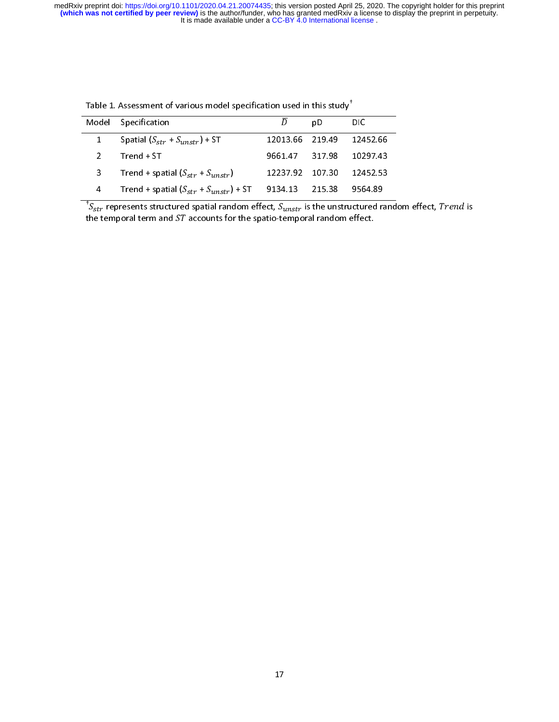| Table 1. Assessment of various model specification used in this study <sup>†</sup> |        |                                                                                                                                                                                                 |
|------------------------------------------------------------------------------------|--------|-------------------------------------------------------------------------------------------------------------------------------------------------------------------------------------------------|
| $\overline{D}$                                                                     | pD     | <b>DIC</b>                                                                                                                                                                                      |
| 12013.66                                                                           | 219.49 | 12452.66                                                                                                                                                                                        |
| 9661.47                                                                            |        | 10297.43                                                                                                                                                                                        |
| 12237.92                                                                           | 107 30 | 12452.53                                                                                                                                                                                        |
| 9134 13                                                                            | 215.38 | 9564.89                                                                                                                                                                                         |
|                                                                                    |        |                                                                                                                                                                                                 |
|                                                                                    |        | 317.98<br>${}^{\dagger}S_{str}$ represents structured spatial random effect, $S_{unstr}$ is the unstructured rand<br>the temporal term and $ST$ accounts for the spatio-temporal random effect. |

 $\frac{4}{t}$  Trend + spatial ( $S_{st}$ <br> $\frac{1}{t}$  represents structured :<br>temporal term and ST a  $\frac{1}{r}$  +  $S_{unst}$ <br>spatial raccounts 1  $\frac{1}{2}$ ,  $\frac{1}{2}$  57 1234.13 215.38 9564.89<br>
Indom effect,  $S_{unstr}$  is the unstructured random effect.<br>
For the spatio-temporal random effect.  $\frac{1}{t}$  the spatial term in the spatial ( $\frac{1}{s}$  structured structured stemporal term and ST and ST and ST and ST and ST and ST and ST and ST and ST and ST and ST and ST and ST and ST and ST and ST and ST and ST and S  $\frac{m}{\text{spatial}}$  radial radio counts f  $\frac{1}{2}$ <br>
Indom effect,  $S_{unstr}$  is the unstructured radiometer.<br>
Survey is the unstructured radiometer.  ${}^{\dagger}S_{str}$  represents structured spatial random effect,  $S_{unstr}$  is the unstructured random effect, Trend is the temporal term and ST accounts for the spatio-temporal random effect. represents structure structure structure structure structure structure  $\frac{1}{2}$  random effect of the spatio-temporal term and ST accounts for the spatio-temp  $i$ s the unstructured random effect,  $i$  is the unstructured random effect,  $i$ the temporal term and accounts for the spatio-temporal random effect.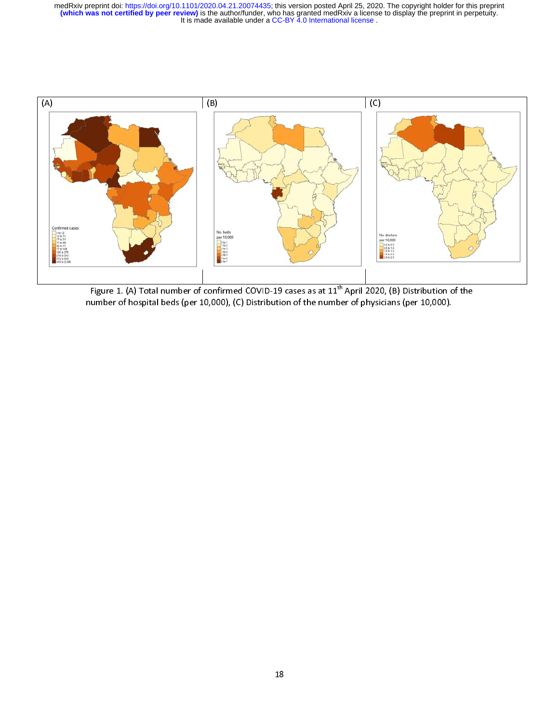

Figure 1. (A) Total number of confirmed COVID-19 cases as at 11<sup>th</sup> Application of the number of hospital beds [per 10,000].<br>
Humber of hospital beds [per 10,000], (C] Distribution of the number of physicians [per 10,000] number of hospital beds (per 10,000), (C) Distribution of the number of physicians (per 10,000). (per 10,000).<br>
18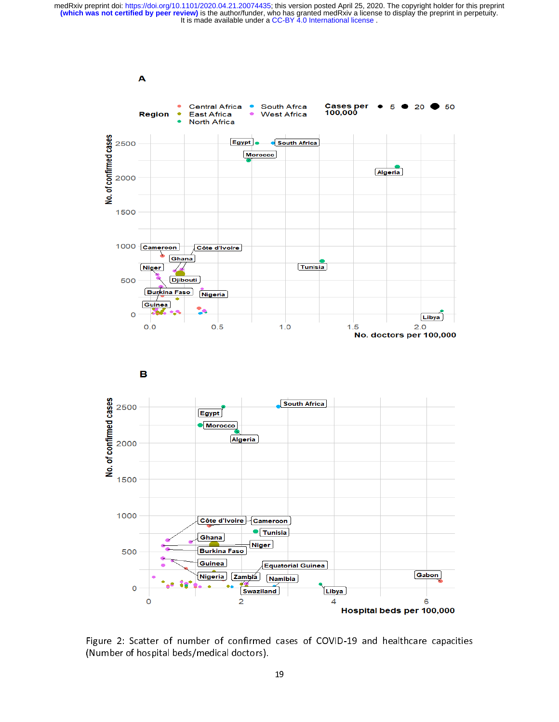

Figure 2: Scatter of number of confirmed cases of COVID-19 and healthcare capacities<br>(Number of hospital beds/medical doctors).<br>19 (Number of hospital beds/medical doctors).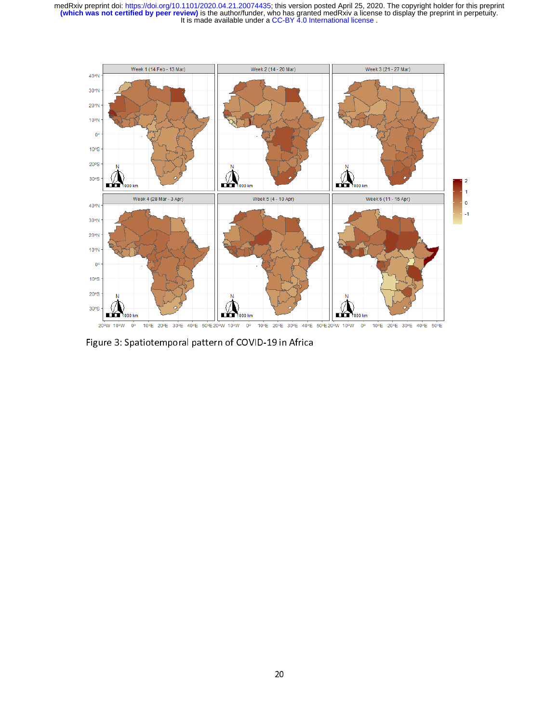

Figure 3: Spatiotemporal pattern of COVID-19 in Africa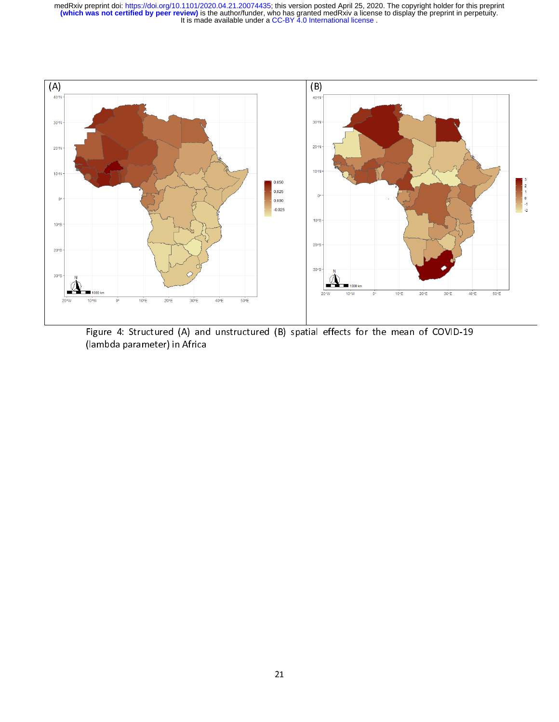

 $\overline{a}$ Figure 4: Structured (A) and uncertainties (B) spatial effects for the mean of CDI  $\sim$  (B) spatial effects for the mean of CDI  $\sim$  COVID-19 spatial effects for the mean of CDI  $\sim$ (lambda parameter) in Africa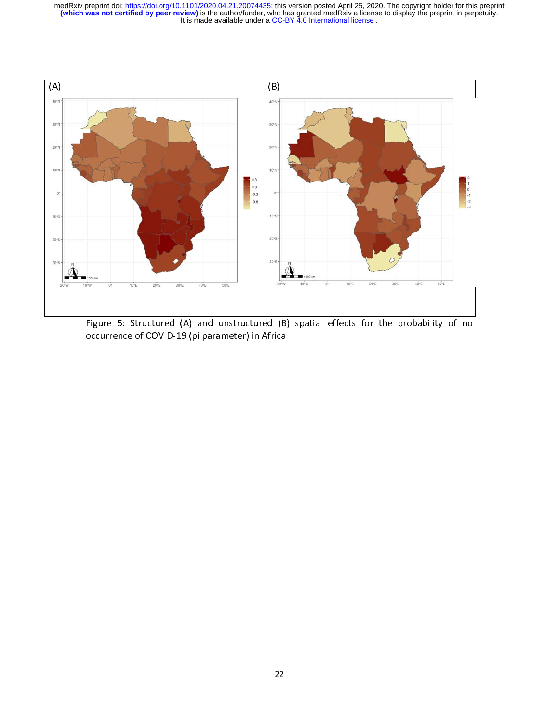

Figure 5: Structure 5: Structure 5: Structure 5: Structure of COVID-19 (pi parameter) in Africa<br>
The probability of non-the probability of non-the probability of non-the probability of non-the probability of non-the probab occurrence of Covid-19 (pickets) in Africa<br>19 (pickets) in Africa<br>19 (pickets) in Africa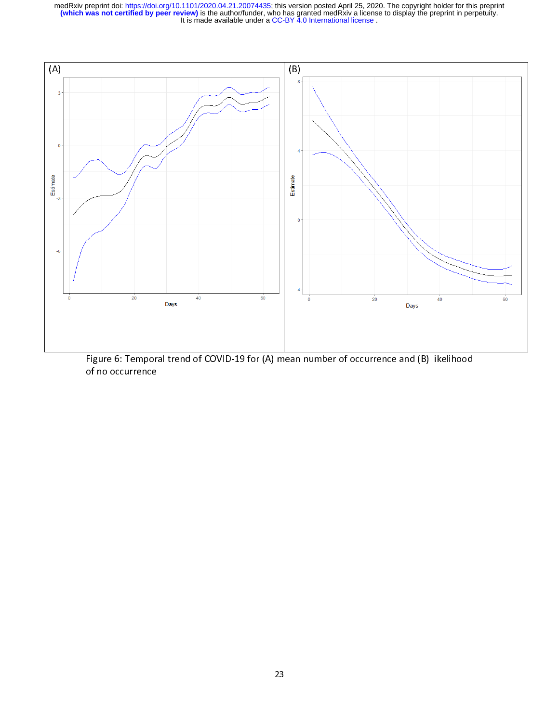

Figure 6: Temporal transmission of  $\sqrt{N}$  ,  $\sqrt{N}$  and  $\sqrt{N}$  is a number of  $\sqrt{N}$  likelihood of no occurrence